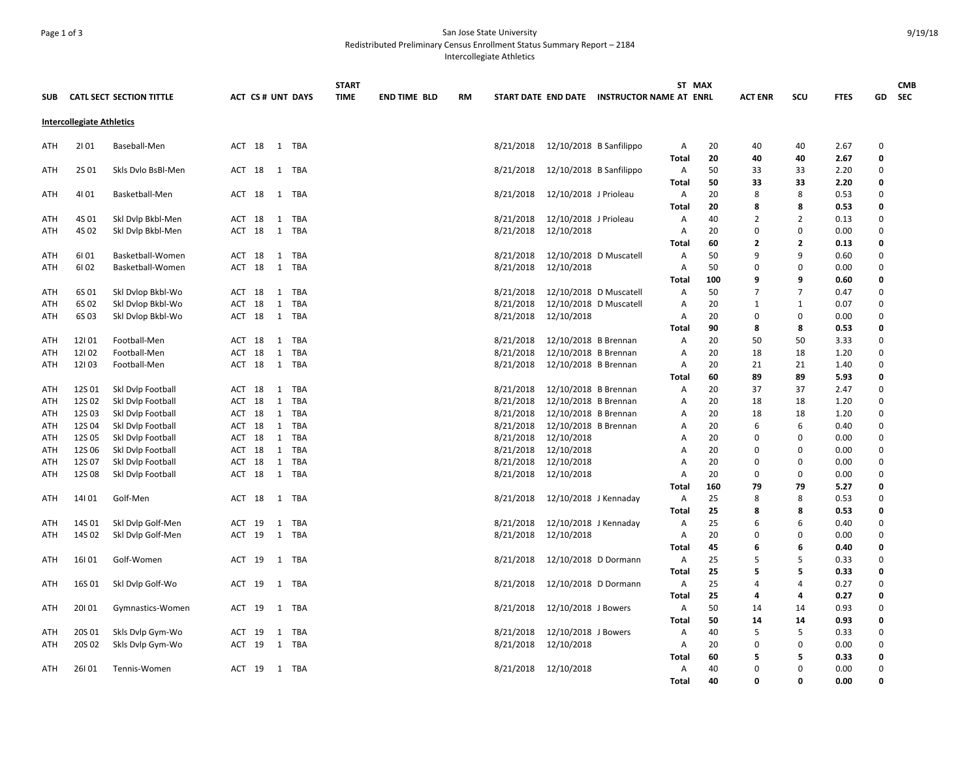## Page 1 of 3 San Jose State University Redistributed Preliminary Census Enrollment Status Summary Report – 2184

Intercollegiate Athletics

|                                  |        |                                 |                         |            | <b>START</b> |                     |           |                      |                           |                                             | ST MAX            |          |                     |                |              |                  | <b>CMB</b> |
|----------------------------------|--------|---------------------------------|-------------------------|------------|--------------|---------------------|-----------|----------------------|---------------------------|---------------------------------------------|-------------------|----------|---------------------|----------------|--------------|------------------|------------|
| <b>SUB</b>                       |        | <b>CATL SECT SECTION TITTLE</b> | <b>ACT CS# UNT DAYS</b> |            | <b>TIME</b>  | <b>END TIME BLD</b> | <b>RM</b> |                      |                           | START DATE END DATE INSTRUCTOR NAME AT ENRL |                   |          | <b>ACT ENR</b>      | SCU            | <b>FTES</b>  | GD               | <b>SEC</b> |
| <b>Intercollegiate Athletics</b> |        |                                 |                         |            |              |                     |           |                      |                           |                                             |                   |          |                     |                |              |                  |            |
| ATH                              | 2101   | Baseball-Men                    | ACT 18<br>1 TBA         |            |              |                     |           | 8/21/2018            | $12/10/2018$ B Sanfilippo |                                             | Α<br><b>Total</b> | 20<br>20 | 40<br>40            | 40<br>40       | 2.67<br>2.67 | 0<br>0           |            |
| ATH                              | 2S 01  | Skls Dvlo BsBl-Men              | ACT 18<br>1 TBA         |            |              |                     |           | 8/21/2018            | 12/10/2018 B Sanfilippo   |                                             | Α                 | 50       | 33                  | 33             | 2.20         | $\mathbf 0$      |            |
| ATH                              | 4101   | Basketball-Men                  | ACT 18<br>1 TBA         |            |              |                     |           | 8/21/2018            | 12/10/2018 J Prioleau     |                                             | Total<br>Α        | 50<br>20 | 33<br>8             | 33<br>8        | 2.20<br>0.53 | 0<br>$\mathbf 0$ |            |
|                                  |        |                                 |                         |            |              |                     |           |                      |                           |                                             | <b>Total</b>      | 20       | 8                   | 8              | 0.53         | 0                |            |
| ATH                              | 4S 01  | Ski Dvip Bkbl-Men               | 1 TBA<br>ACT 18         |            |              |                     |           | 8/21/2018            | 12/10/2018 J Prioleau     |                                             | A                 | 40       | 2                   | 2              | 0.13         | $\mathbf 0$      |            |
| <b>ATH</b>                       | 4S 02  | Skl Dvlp Bkbl-Men               | 1 TBA<br>ACT 18         |            |              |                     |           | 8/21/2018            | 12/10/2018                |                                             | $\overline{A}$    | 20       | $\Omega$            | $\mathbf 0$    | 0.00         | $\mathbf 0$      |            |
|                                  |        |                                 |                         |            |              |                     |           |                      |                           |                                             | Total             | 60       | $\overline{2}$      | $\overline{2}$ | 0.13         | 0                |            |
| ATH                              | 6101   | Basketball-Women                | ACT 18<br>1             | TBA        |              |                     |           | 8/21/2018            | 12/10/2018 D Muscatell    |                                             | $\overline{A}$    | 50       | 9                   | 9              | 0.60         | $\Omega$         |            |
| ATH                              | 6102   | Basketball-Women                | 1 TBA<br>ACT 18         |            |              |                     |           | 8/21/2018            | 12/10/2018                |                                             | $\overline{A}$    | 50       | $\Omega$            | $\mathbf 0$    | 0.00         | $\Omega$         |            |
|                                  |        |                                 |                         |            |              |                     |           |                      |                           |                                             | Total             | 100      | 9                   | 9              | 0.60         | 0                |            |
| ATH                              | 6S 01  | Skl Dvlop Bkbl-Wo               | 1 TBA<br>ACT 18         |            |              |                     |           | 8/21/2018            | 12/10/2018 D Muscatell    |                                             | Α                 | 50       | $\overline{7}$      | 7              | 0.47         | 0                |            |
| ATH                              | 6S 02  | Skl Dvlop Bkbl-Wo               | ACT 18<br>1             | TBA        |              |                     |           | 8/21/2018            | 12/10/2018 D Muscatell    |                                             | Α                 | 20       | 1                   | $\mathbf{1}$   | 0.07         | $\Omega$         |            |
| ATH                              | 6S 03  | Ski Dvlop Bkbl-Wo               | ACT 18<br>1 TBA         |            |              |                     |           | 8/21/2018            | 12/10/2018                |                                             | Α                 | 20<br>90 | $\Omega$<br>8       | 0<br>8         | 0.00         | 0<br>0           |            |
| ATH                              | 12101  | Football-Men                    | ACT 18<br>1 TBA         |            |              |                     |           | 8/21/2018            | 12/10/2018 B Brennan      |                                             | Total<br>Α        | 20       | 50                  | 50             | 0.53<br>3.33 | $\Omega$         |            |
| ATH                              | 12102  | Football-Men                    | 18<br>ACT<br>1          | <b>TBA</b> |              |                     |           | 8/21/2018            | 12/10/2018 B Brennan      |                                             | Α                 | 20       | 18                  | 18             | 1.20         | 0                |            |
| ATH                              | 12103  | Football-Men                    | ACT 18<br>1 TBA         |            |              |                     |           | 8/21/2018            | 12/10/2018 B Brennan      |                                             | Α                 | 20       | 21                  | 21             | 1.40         | $\mathbf 0$      |            |
|                                  |        |                                 |                         |            |              |                     |           |                      |                           |                                             | Total             | 60       | 89                  | 89             | 5.93         | 0                |            |
| ATH                              | 12S 01 | Skl Dvlp Football               | ACT 18<br>1 TBA         |            |              |                     |           | 8/21/2018            | 12/10/2018 B Brennan      |                                             | Α                 | 20       | 37                  | 37             | 2.47         | 0                |            |
| <b>ATH</b>                       | 12S 02 | Skl Dvlp Football               | ACT 18<br>1 TBA         |            |              |                     |           | 8/21/2018            | 12/10/2018 B Brennan      |                                             | A                 | 20       | 18                  | 18             | 1.20         | $\Omega$         |            |
| ATH                              | 12S 03 | Skl Dvlp Football               | ACT 18<br>1 TBA         |            |              |                     |           | 8/21/2018            | 12/10/2018 B Brennan      |                                             | Α                 | 20       | 18                  | 18             | 1.20         | $\mathbf 0$      |            |
| ATH                              | 12S 04 | Skl Dvlp Football               | ACT 18<br>1 TBA         |            |              |                     |           | 8/21/2018            | 12/10/2018 B Brennan      |                                             | Α                 | 20       | 6                   | 6              | 0.40         | 0                |            |
| ATH                              | 12S 05 | Skl Dvlp Football               | ACT 18<br>1 TBA         |            |              |                     |           | 8/21/2018            | 12/10/2018                |                                             | Α                 | 20       | $\Omega$            | 0              | 0.00         | $\Omega$         |            |
| ATH                              | 12S 06 | Skl Dvlp Football               | ACT 18<br>1 TBA         |            |              |                     |           | 8/21/2018            | 12/10/2018                |                                             | Α                 | 20       | $\Omega$            | 0              | 0.00         | $\mathbf 0$      |            |
| ATH                              | 12S 07 | Skl Dvlp Football               | ACT 18<br>1 TBA         |            |              |                     |           | 8/21/2018            | 12/10/2018                |                                             | A                 | 20       | $\Omega$            | 0              | 0.00         | 0                |            |
| ATH                              | 12S 08 | Skl Dvlp Football               | ACT 18<br>1 TBA         |            |              |                     |           | 8/21/2018            | 12/10/2018                |                                             | $\overline{A}$    | 20       | $\Omega$            | 0              | 0.00         | $\Omega$         |            |
|                                  |        |                                 |                         |            |              |                     |           |                      |                           |                                             | Total             | 160      | 79                  | 79             | 5.27         | 0                |            |
| ATH                              | 14101  | Golf-Men                        | ACT 18<br>1 TBA         |            |              |                     |           | 8/21/2018            | 12/10/2018 J Kennaday     |                                             | Α                 | 25       | 8                   | 8              | 0.53         | $\Omega$         |            |
|                                  |        |                                 |                         |            |              |                     |           |                      |                           |                                             | Total             | 25       | 8                   | 8              | 0.53         | $\Omega$         |            |
| ATH                              | 14S 01 | Skl Dvlp Golf-Men               | 1 TBA<br>ACT 19         |            |              |                     |           | 8/21/2018            | 12/10/2018 J Kennaday     |                                             | Α                 | 25       | 6                   | 6              | 0.40         | $\mathbf 0$      |            |
| ATH                              | 14S 02 | Skl Dvlp Golf-Men               | ACT 19<br>1 TBA         |            |              |                     |           | 8/21/2018            | 12/10/2018                |                                             | Α                 | 20       | $\Omega$            | 0              | 0.00         | $\Omega$         |            |
|                                  |        |                                 |                         |            |              |                     |           |                      |                           |                                             | Total             | 45       | 6                   | 6              | 0.40         | $\Omega$         |            |
| ATH                              | 16101  | Golf-Women                      | ACT 19<br>1 TBA         |            |              |                     |           | 8/21/2018            | 12/10/2018 D Dormann      |                                             | Α                 | 25       | .5                  | 5<br>5         | 0.33         | $\Omega$         |            |
|                                  |        |                                 |                         |            |              |                     |           |                      |                           |                                             | <b>Total</b>      | 25       | 5<br>$\overline{4}$ | 4              | 0.33         | 0<br>$\Omega$    |            |
| ATH                              | 16S 01 | Skl Dvlp Golf-Wo                | ACT 19<br>1 TBA         |            |              |                     |           | 8/21/2018            | 12/10/2018 D Dormann      |                                             | Α<br>Total        | 25<br>25 | 4                   | 4              | 0.27<br>0.27 | 0                |            |
| ATH                              | 20101  | Gymnastics-Women                | ACT 19<br>1 TBA         |            |              |                     |           | 8/21/2018            | 12/10/2018 J Bowers       |                                             | Α                 | 50       | 14                  | 14             | 0.93         | $\Omega$         |            |
|                                  |        |                                 |                         |            |              |                     |           |                      |                           |                                             | <b>Total</b>      | 50       | 14                  | 14             | 0.93         | 0                |            |
| ATH                              | 20S 01 | Skls Dvlp Gym-Wo                | ACT 19<br>1 TBA         |            |              |                     |           | 8/21/2018            | 12/10/2018 J Bowers       |                                             | Α                 | 40       | .5                  | 5              | 0.33         | 0                |            |
| ATH                              | 20S 02 | Skls Dvlp Gym-Wo                | ACT 19<br>1 TBA         |            |              |                     |           | 8/21/2018            | 12/10/2018                |                                             | A                 | 20       | $\Omega$            | 0              | 0.00         | $\Omega$         |            |
|                                  |        |                                 |                         |            |              |                     |           |                      |                           |                                             | <b>Total</b>      | 60       | 5                   | 5              | 0.33         | 0                |            |
| ATH                              | 26101  | Tennis-Women                    | ACT 19<br>1 TBA         |            |              |                     |           | 8/21/2018 12/10/2018 |                           |                                             | A                 | 40       | $\Omega$            | $\Omega$       | 0.00         | $\Omega$         |            |
|                                  |        |                                 |                         |            |              |                     |           |                      |                           |                                             | Total             | 40       | $\Omega$            | O              | 0.00         | O                |            |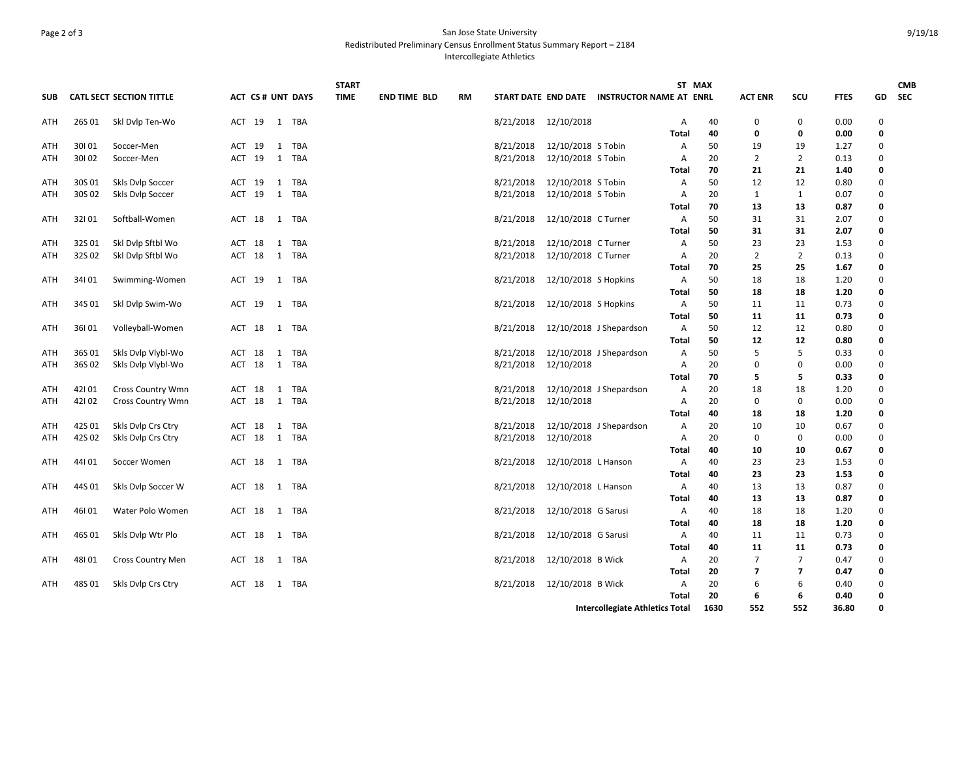## Page 2 of 3 San Jose State University

Redistributed Preliminary Census Enrollment Status Summary Report – 2184

Intercollegiate Athletics

|            |        |                                 |        |                          |   |       | <b>START</b> |                     |           |                                        |                               |                                             |              | ST MAX   |                      |                          |              |                  | <b>CMB</b> |
|------------|--------|---------------------------------|--------|--------------------------|---|-------|--------------|---------------------|-----------|----------------------------------------|-------------------------------|---------------------------------------------|--------------|----------|----------------------|--------------------------|--------------|------------------|------------|
| <b>SUB</b> |        | <b>CATL SECT SECTION TITTLE</b> |        | <b>ACT CS # UNT DAYS</b> |   |       | <b>TIME</b>  | <b>END TIME BLD</b> | <b>RM</b> |                                        |                               | START DATE END DATE INSTRUCTOR NAME AT ENRL |              |          | <b>ACT ENR</b>       | SCU                      | <b>FTES</b>  | GD               | <b>SEC</b> |
| ATH        | 26S 01 | Skl Dvlp Ten-Wo                 | ACT 19 |                          |   | 1 TBA |              |                     |           | 8/21/2018 12/10/2018                   |                               |                                             | Α            | 40       | 0                    | 0                        | 0.00         | 0                |            |
|            |        |                                 |        |                          |   |       |              |                     |           |                                        |                               |                                             | <b>Total</b> | 40       | 0                    | 0                        | 0.00         | 0                |            |
| ATH        | 30101  | Soccer-Men                      | ACT 19 |                          |   | 1 TBA |              |                     |           | 8/21/2018                              | 12/10/2018 S Tobin            |                                             | A            | 50       | 19                   | 19                       | 1.27         | 0                |            |
| ATH        | 30102  | Soccer-Men                      | ACT 19 |                          |   | 1 TBA |              |                     |           | 8/21/2018                              | 12/10/2018 S Tobin            |                                             | A            | 20       | 2                    | 2                        | 0.13         | 0                |            |
|            |        |                                 |        |                          |   |       |              |                     |           |                                        |                               |                                             | Total        | 70       | 21                   | 21                       | 1.40         | 0                |            |
| ATH        | 30S 01 | Skls Dvlp Soccer                | ACT 19 |                          |   | 1 TBA |              |                     |           | 8/21/2018                              | 12/10/2018 S Tobin            |                                             | Α            | 50       | 12                   | 12                       | 0.80         | 0                |            |
| ATH        | 30S 02 | Skls Dvlp Soccer                | ACT 19 |                          |   | 1 TBA |              |                     |           | 8/21/2018                              | 12/10/2018 S Tobin            |                                             | A            | 20       | $\mathbf{1}$         | 1                        | 0.07         | 0                |            |
|            |        |                                 |        |                          |   |       |              |                     |           |                                        |                               |                                             | <b>Total</b> | 70       | 13                   | 13                       | 0.87         | 0                |            |
| ATH        | 32101  | Softball-Women                  | ACT 18 |                          |   | 1 TBA |              |                     |           | 8/21/2018                              | 12/10/2018 C Turner           |                                             | A            | 50       | 31                   | 31                       | 2.07         | 0                |            |
|            |        |                                 |        |                          |   |       |              |                     |           |                                        |                               |                                             | Total        | 50       | 31                   | 31                       | 2.07         | 0                |            |
| ATH        | 32S 01 | Skl Dvlp Sftbl Wo               | ACT 18 |                          |   | 1 TBA |              |                     |           | 8/21/2018                              | 12/10/2018 C Turner           |                                             | Α            | 50       | 23                   | 23                       | 1.53         | 0                |            |
| ATH        | 32S 02 | Skl Dvlp Sftbl Wo               | ACT 18 |                          |   | 1 TBA |              |                     |           | 8/21/2018                              | 12/10/2018 C Turner           |                                             | Α            | 20       | $\overline{2}$       | $\overline{2}$           | 0.13         | $\mathbf 0$<br>0 |            |
| ATH        | 34101  |                                 | ACT 19 |                          |   | 1 TBA |              |                     |           | 8/21/2018                              | 12/10/2018 S Hopkins          |                                             | Total<br>A   | 70<br>50 | 25<br>18             | 25<br>18                 | 1.67<br>1.20 | 0                |            |
|            |        | Swimming-Women                  |        |                          |   |       |              |                     |           |                                        |                               |                                             | Total        | 50       | 18                   | 18                       | 1.20         | 0                |            |
| ATH        | 34S 01 | Skl Dvlp Swim-Wo                | ACT 19 |                          |   | 1 TBA |              |                     |           | 8/21/2018                              | 12/10/2018 S Hopkins          |                                             | A            | 50       | 11                   | 11                       | 0.73         | 0                |            |
|            |        |                                 |        |                          |   |       |              |                     |           |                                        |                               |                                             | Total        | 50       | 11                   | 11                       | 0.73         | 0                |            |
| ATH        | 36I01  | Volleyball-Women                | ACT 18 |                          |   | 1 TBA |              |                     |           | 8/21/2018                              |                               | 12/10/2018 J Shepardson                     | A            | 50       | 12                   | 12                       | 0.80         | 0                |            |
|            |        |                                 |        |                          |   |       |              |                     |           |                                        |                               |                                             | Total        | 50       | 12                   | 12                       | 0.80         | 0                |            |
| ATH        | 36S 01 | Skls Dvlp Vlybl-Wo              | ACT 18 |                          |   | 1 TBA |              |                     |           | 8/21/2018                              |                               | 12/10/2018 J Shepardson                     | A            | 50       | 5                    | 5                        | 0.33         | 0                |            |
| ATH        | 36S 02 | Skls Dylp Vlybl-Wo              | ACT 18 |                          |   | 1 TBA |              |                     |           | 8/21/2018                              | 12/10/2018                    |                                             | A            | 20       | 0                    | 0                        | 0.00         | 0                |            |
|            |        |                                 |        |                          |   |       |              |                     |           |                                        |                               |                                             | Total        | 70       | 5                    | 5                        | 0.33         | 0                |            |
| ATH        | 42101  | <b>Cross Country Wmn</b>        | ACT 18 |                          |   | 1 TBA |              |                     |           | 8/21/2018                              |                               | 12/10/2018 J Shepardson                     | Α            | 20       | 18                   | 18                       | 1.20         | 0                |            |
| ATH        | 42102  | <b>Cross Country Wmn</b>        | ACT 18 |                          |   | 1 TBA |              |                     |           | 8/21/2018                              | 12/10/2018                    |                                             | A            | 20       | 0                    | 0                        | 0.00         | 0                |            |
|            |        |                                 |        |                          |   |       |              |                     |           |                                        |                               |                                             | Total        | 40       | 18                   | 18                       | 1.20         | 0                |            |
| ATH        | 42S 01 | Skls Dvlp Crs Ctry              | ACT 18 |                          | 1 | TBA   |              |                     |           | 8/21/2018                              |                               | 12/10/2018 J Shepardson                     | A            | 20       | 10                   | 10                       | 0.67         | 0                |            |
| ATH        | 42S 02 | Skls Dylp Crs Ctry              | ACT 18 |                          |   | 1 TBA |              |                     |           | 8/21/2018                              | 12/10/2018                    |                                             | A            | 20       | 0                    | 0                        | 0.00         | $\Omega$         |            |
|            |        |                                 |        |                          |   |       |              |                     |           |                                        |                               |                                             | Total        | 40       | 10                   | 10                       | 0.67         | 0                |            |
| ATH        | 44101  | Soccer Women                    | ACT 18 |                          |   | 1 TBA |              |                     |           | 8/21/2018                              | 12/10/2018 L Hanson           |                                             | A            | 40       | 23                   | 23                       | 1.53         | $\Omega$         |            |
|            |        |                                 |        |                          |   |       |              |                     |           |                                        |                               |                                             | Total        | 40       | 23                   | 23                       | 1.53         | 0                |            |
| ATH        | 44S 01 | Skls Dvlp Soccer W              | ACT 18 |                          |   | 1 TBA |              |                     |           |                                        | 8/21/2018 12/10/2018 L Hanson |                                             | A            | 40       | 13                   | 13                       | 0.87         | 0                |            |
|            |        |                                 |        |                          |   |       |              |                     |           |                                        |                               |                                             | Total        | 40       | 13                   | 13                       | 0.87         | 0                |            |
| ATH        | 46I01  | Water Polo Women                | ACT 18 |                          |   | 1 TBA |              |                     |           | 8/21/2018                              | 12/10/2018 G Sarusi           |                                             | A            | 40       | 18                   | 18                       | 1.20         | 0                |            |
|            |        |                                 |        |                          |   |       |              |                     |           |                                        |                               |                                             | Total        | 40       | 18                   | 18                       | 1.20         | 0                |            |
| ATH        | 46S 01 | Skls Dvlp Wtr Plo               | ACT 18 |                          |   | 1 TBA |              |                     |           | 8/21/2018                              | 12/10/2018 G Sarusi           |                                             | A            | 40       | 11                   | 11                       | 0.73         | 0                |            |
|            |        |                                 |        |                          |   |       |              |                     |           |                                        | 12/10/2018 B Wick             |                                             | Total        | 40       | 11<br>$\overline{7}$ | 11<br>$\overline{7}$     | 0.73         | 0<br>0           |            |
| ATH        | 48101  | <b>Cross Country Men</b>        | ACT 18 |                          |   | 1 TBA |              |                     |           | 8/21/2018                              |                               |                                             | A<br>Total   | 20<br>20 | 7                    | $\overline{\phantom{a}}$ | 0.47<br>0.47 | 0                |            |
| ATH        | 48S 01 | Skls Dvlp Crs Ctry              | ACT 18 |                          |   | 1 TBA |              |                     |           | 8/21/2018                              | 12/10/2018 B Wick             |                                             | A            | 20       | 6                    | 6                        | 0.40         | 0                |            |
|            |        |                                 |        |                          |   |       |              |                     |           |                                        |                               |                                             | Total        | 20       | 6                    | 6                        | 0.40         | 0                |            |
|            |        |                                 |        |                          |   |       |              |                     |           | <b>Intercollegiate Athletics Total</b> |                               |                                             |              |          | 552                  | 552                      | 36.80        | O                |            |
|            |        |                                 |        |                          |   |       |              |                     |           |                                        |                               |                                             |              | 1630     |                      |                          |              |                  |            |